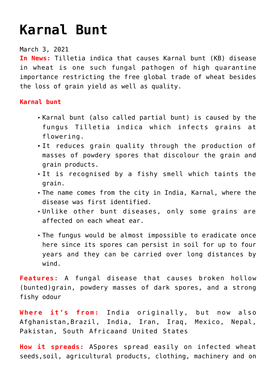## **[Karnal Bunt](https://journalsofindia.com/karnal-bunt/)**

March 3, 2021

**In News:** Tilletia indica that causes Karnal bunt (KB) disease in wheat is one such fungal pathogen of high quarantine importance restricting the free global trade of wheat besides the loss of grain yield as well as quality.

## **Karnal bunt**

- Karnal bunt (also called partial bunt) is caused by the fungus Tilletia indica which infects grains at flowering.
- It reduces grain quality through the production of masses of powdery spores that discolour the grain and grain products.
- It is recognised by a fishy smell which taints the grain.
- The name comes from the city in India, Karnal, where the disease was first identified.
- Unlike other bunt diseases, only some grains are affected on each wheat ear.
- The fungus would be almost impossible to eradicate once here since its spores can persist in soil for up to four years and they can be carried over long distances by wind.

**Features**: A fungal disease that causes broken hollow (bunted)grain, powdery masses of dark spores, and a strong fishy odour

**Where it's from:** India originally, but now also Afghanistan,Brazil, India, Iran, Iraq, Mexico, Nepal, Pakistan, South Africaand United States

**How it spreads:** ASpores spread easily on infected wheat seeds,soil, agricultural products, clothing, machinery and on